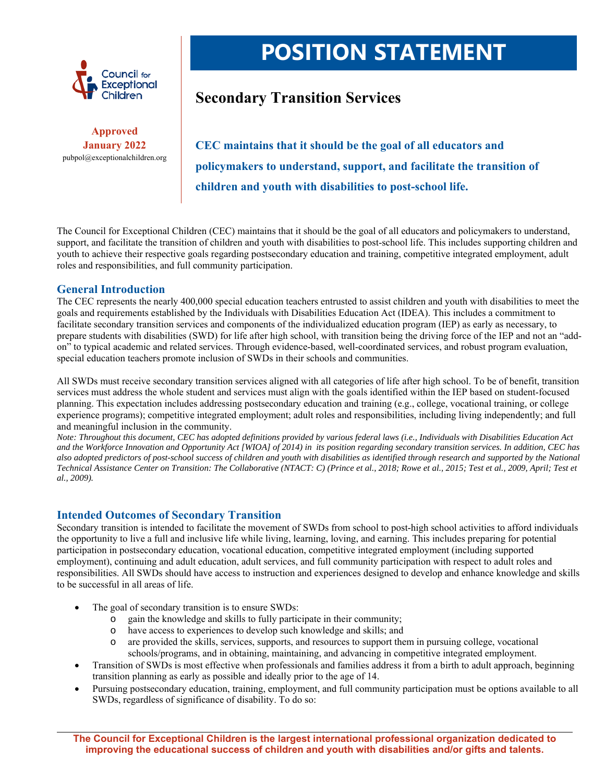

**Approved January 2022**  pubpol@exceptionalchildren.org

# **POSITION STATEMENT**

## **Secondary Transition Services**

**CEC maintains that it should be the goal of all educators and policymakers to understand, support, and facilitate the transition of children and youth with disabilities to post-school life.** 

The Council for Exceptional Children (CEC) maintains that it should be the goal of all educators and policymakers to understand, support, and facilitate the transition of children and youth with disabilities to post-school life. This includes supporting children and youth to achieve their respective goals regarding postsecondary education and training, competitive integrated employment, adult roles and responsibilities, and full community participation.

#### **General Introduction**

The CEC represents the nearly 400,000 special education teachers entrusted to assist children and youth with disabilities to meet the goals and requirements established by the Individuals with Disabilities Education Act (IDEA). This includes a commitment to facilitate secondary transition services and components of the individualized education program (IEP) as early as necessary, to prepare students with disabilities (SWD) for life after high school, with transition being the driving force of the IEP and not an "addon" to typical academic and related services. Through evidence-based, well-coordinated services, and robust program evaluation, special education teachers promote inclusion of SWDs in their schools and communities.

All SWDs must receive secondary transition services aligned with all categories of life after high school. To be of benefit, transition services must address the whole student and services must align with the goals identified within the IEP based on student-focused planning. This expectation includes addressing postsecondary education and training (e.g., college, vocational training, or college experience programs); competitive integrated employment; adult roles and responsibilities, including living independently; and full and meaningful inclusion in the community.

*Note: Throughout this document, CEC has adopted definitions provided by various federal laws (i.e., Individuals with Disabilities Education Act and the Workforce Innovation and Opportunity Act [WIOA] of 2014) in its position regarding secondary transition services. In addition, CEC has also adopted predictors of post-school success of children and youth with disabilities as identified through research and supported by the National Technical Assistance Center on Transition: The Collaborative (NTACT: C) (Prince et al., 2018; Rowe et al., 2015; Test et al., 2009, April; Test et al., 2009).* 

#### **Intended Outcomes of Secondary Transition**

Secondary transition is intended to facilitate the movement of SWDs from school to post-high school activities to afford individuals the opportunity to live a full and inclusive life while living, learning, loving, and earning. This includes preparing for potential participation in postsecondary education, vocational education, competitive integrated employment (including supported employment), continuing and adult education, adult services, and full community participation with respect to adult roles and responsibilities. All SWDs should have access to instruction and experiences designed to develop and enhance knowledge and skills to be successful in all areas of life.

- The goal of secondary transition is to ensure SWDs:
	- o gain the knowledge and skills to fully participate in their community;
	- o have access to experiences to develop such knowledge and skills; and
	- o are provided the skills, services, supports, and resources to support them in pursuing college, vocational schools/programs, and in obtaining, maintaining, and advancing in competitive integrated employment.
- Transition of SWDs is most effective when professionals and families address it from a birth to adult approach, beginning transition planning as early as possible and ideally prior to the age of 14.
- Pursuing postsecondary education, training, employment, and full community participation must be options available to all SWDs, regardless of significance of disability. To do so: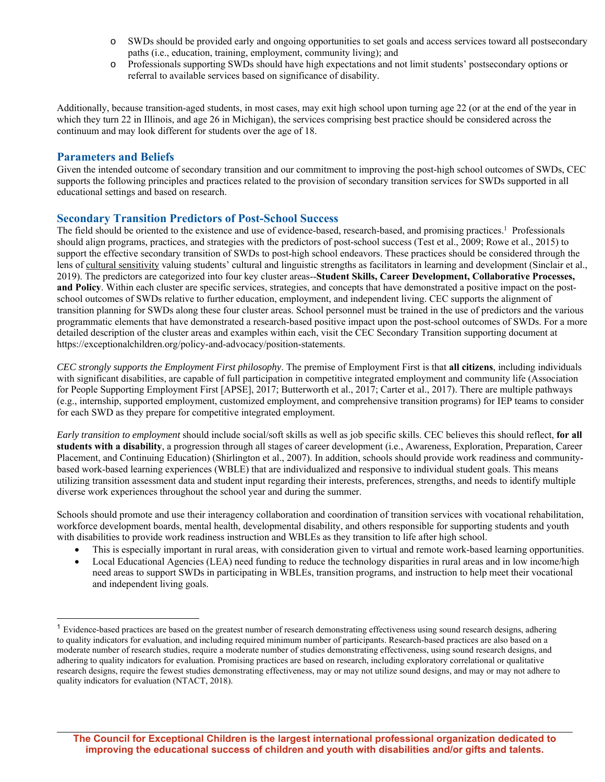- o SWDs should be provided early and ongoing opportunities to set goals and access services toward all postsecondary paths (i.e., education, training, employment, community living); and
- o Professionals supporting SWDs should have high expectations and not limit students' postsecondary options or referral to available services based on significance of disability.

Additionally, because transition-aged students, in most cases, may exit high school upon turning age 22 (or at the end of the year in which they turn 22 in Illinois, and age 26 in Michigan), the services comprising best practice should be considered across the continuum and may look different for students over the age of 18.

#### **Parameters and Beliefs**

Given the intended outcome of secondary transition and our commitment to improving the post-high school outcomes of SWDs, CEC supports the following principles and practices related to the provision of secondary transition services for SWDs supported in all educational settings and based on research.

#### **Secondary Transition Predictors of Post-School Success**

The field should be oriented to the existence and use of evidence-based, research-based, and promising practices.<sup>1</sup> Professionals should align programs, practices, and strategies with the predictors of post-school success (Test et al., 2009; Rowe et al., 2015) to support the effective secondary transition of SWDs to post-high school endeavors. These practices should be considered through the lens of cultural sensitivity valuing students' cultural and linguistic strengths as facilitators in learning and development (Sinclair et al., 2019). The predictors are categorized into four key cluster areas--**Student Skills, Career Development, Collaborative Processes, and Policy**. Within each cluster are specific services, strategies, and concepts that have demonstrated a positive impact on the postschool outcomes of SWDs relative to further education, employment, and independent living. CEC supports the alignment of transition planning for SWDs along these four cluster areas. School personnel must be trained in the use of predictors and the various programmatic elements that have demonstrated a research-based positive impact upon the post-school outcomes of SWDs. For a more detailed description of the cluster areas and examples within each, visit the CEC Secondary Transition supporting document at https://exceptionalchildren.org/policy-and-advocacy/position-statements.

*CEC strongly supports the Employment First philosophy*. The premise of Employment First is that **all citizens**, including individuals with significant disabilities, are capable of full participation in competitive integrated employment and community life (Association for People Supporting Employment First [APSE], 2017; Butterworth et al., 2017; Carter et al., 2017). There are multiple pathways (e.g., internship, supported employment, customized employment, and comprehensive transition programs) for IEP teams to consider for each SWD as they prepare for competitive integrated employment.

*Early transition to employment* should include social/soft skills as well as job specific skills. CEC believes this should reflect, **for all students with a disability**, a progression through all stages of career development (i.e., Awareness, Exploration, Preparation, Career Placement, and Continuing Education) (Shirlington et al., 2007). In addition, schools should provide work readiness and communitybased work-based learning experiences (WBLE) that are individualized and responsive to individual student goals. This means utilizing transition assessment data and student input regarding their interests, preferences, strengths, and needs to identify multiple diverse work experiences throughout the school year and during the summer.

Schools should promote and use their interagency collaboration and coordination of transition services with vocational rehabilitation, workforce development boards, mental health, developmental disability, and others responsible for supporting students and youth with disabilities to provide work readiness instruction and WBLEs as they transition to life after high school.

- This is especially important in rural areas, with consideration given to virtual and remote work-based learning opportunities.
- Local Educational Agencies (LEA) need funding to reduce the technology disparities in rural areas and in low income/high need areas to support SWDs in participating in WBLEs, transition programs, and instruction to help meet their vocational and independent living goals.

 $<sup>1</sup>$  Evidence-based practices are based on the greatest number of research demonstrating effectiveness using sound research designs, adhering</sup> to quality indicators for evaluation, and including required minimum number of participants. Research-based practices are also based on a moderate number of research studies, require a moderate number of studies demonstrating effectiveness, using sound research designs, and adhering to quality indicators for evaluation. Promising practices are based on research, including exploratory correlational or qualitative research designs, require the fewest studies demonstrating effectiveness, may or may not utilize sound designs, and may or may not adhere to quality indicators for evaluation (NTACT, 2018).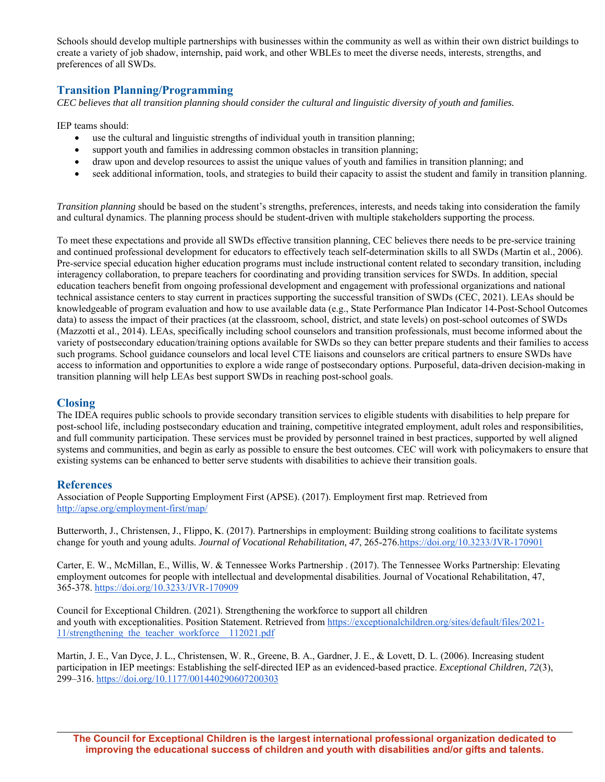Schools should develop multiple partnerships with businesses within the community as well as within their own district buildings to create a variety of job shadow, internship, paid work, and other WBLEs to meet the diverse needs, interests, strengths, and preferences of all SWDs.

### **Transition Planning/Programming**

*CEC believes that all transition planning should consider the cultural and linguistic diversity of youth and families.* 

IEP teams should:

- use the cultural and linguistic strengths of individual youth in transition planning;
- support youth and families in addressing common obstacles in transition planning;
- draw upon and develop resources to assist the unique values of youth and families in transition planning; and
- seek additional information, tools, and strategies to build their capacity to assist the student and family in transition planning.

*Transition planning* should be based on the student's strengths, preferences, interests, and needs taking into consideration the family and cultural dynamics. The planning process should be student-driven with multiple stakeholders supporting the process.

To meet these expectations and provide all SWDs effective transition planning, CEC believes there needs to be pre-service training and continued professional development for educators to effectively teach self-determination skills to all SWDs (Martin et al., 2006). Pre-service special education higher education programs must include instructional content related to secondary transition, including interagency collaboration, to prepare teachers for coordinating and providing transition services for SWDs. In addition, special education teachers benefit from ongoing professional development and engagement with professional organizations and national technical assistance centers to stay current in practices supporting the successful transition of SWDs (CEC, 2021). LEAs should be knowledgeable of program evaluation and how to use available data (e.g., State Performance Plan Indicator 14-Post-School Outcomes data) to assess the impact of their practices (at the classroom, school, district, and state levels) on post-school outcomes of SWDs (Mazzotti et al., 2014). LEAs, specifically including school counselors and transition professionals, must become informed about the variety of postsecondary education/training options available for SWDs so they can better prepare students and their families to access such programs. School guidance counselors and local level CTE liaisons and counselors are critical partners to ensure SWDs have access to information and opportunities to explore a wide range of postsecondary options. Purposeful, data-driven decision-making in transition planning will help LEAs best support SWDs in reaching post-school goals.

#### **Closing**

The IDEA requires public schools to provide secondary transition services to eligible students with disabilities to help prepare for post-school life, including postsecondary education and training, competitive integrated employment, adult roles and responsibilities, and full community participation. These services must be provided by personnel trained in best practices, supported by well aligned systems and communities, and begin as early as possible to ensure the best outcomes. CEC will work with policymakers to ensure that existing systems can be enhanced to better serve students with disabilities to achieve their transition goals.

#### **References**

Association of People Supporting Employment First (APSE). (2017). Employment first map. Retrieved from http://apse.org/employment-first/map/

Butterworth, J., Christensen, J., Flippo, K. (2017). Partnerships in employment: Building strong coalitions to facilitate systems change for youth and young adults. *Journal of Vocational Rehabilitation, 47*, 265-276.https://doi.org/10.3233/JVR-170901

Carter, E. W., McMillan, E., Willis, W. & Tennessee Works Partnership . (2017). The Tennessee Works Partnership: Elevating employment outcomes for people with intellectual and developmental disabilities. Journal of Vocational Rehabilitation, 47, 365-378. https://doi.org/10.3233/JVR-170909

Council for Exceptional Children. (2021). Strengthening the workforce to support all children and youth with exceptionalities. Position Statement. Retrieved from https://exceptionalchildren.org/sites/default/files/2021-11/strengthening the teacher workforce 112021.pdf

Martin, J. E., Van Dyce, J. L., Christensen, W. R., Greene, B. A., Gardner, J. E., & Lovett, D. L. (2006). Increasing student participation in IEP meetings: Establishing the self-directed IEP as an evidenced-based practice. *Exceptional Children, 72*(3), 299–316. https://doi.org/10.1177/001440290607200303